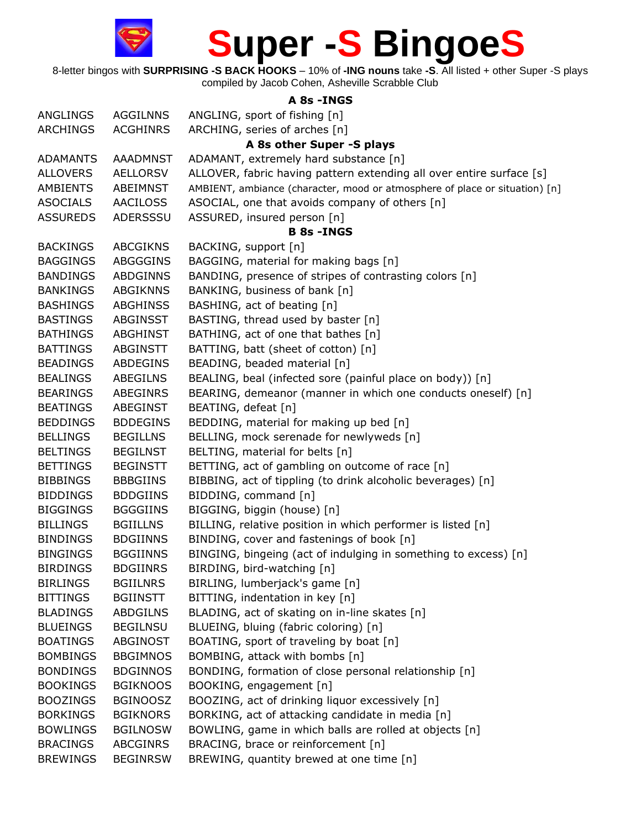

8-letter bingos with **SURPRISING -S BACK HOOKS** – 10% of **-ING nouns** take **-S**. All listed + other Super -S plays compiled by Jacob Cohen, Asheville Scrabble Club

**A 8s -INGS** ANGLINGS AGGILNNS ANGLING, sport of fishing [n] ARCHINGS ACGHINRS ARCHING, series of arches [n] **A 8s other Super -S plays**  ADAMANTS AAADMNST ADAMANT, extremely hard substance [n] ALLOVERS AELLORSV ALLOVER, fabric having pattern extending all over entire surface [s] AMBIENTS ABEIMNST AMBIENT, ambiance (character, mood or atmosphere of place or situation) [n] ASOCIALS AACILOSS ASOCIAL, one that avoids company of others [n] ASSUREDS ADERSSSU ASSURED, insured person [n] **B 8s -INGS** BACKINGS ABCGIKNS BACKING, support [n] BAGGINGS ABGGGINS BAGGING, material for making bags [n] BANDINGS ABDGINNS BANDING, presence of stripes of contrasting colors [n] BANKINGS ABGIKNNS BANKING, business of bank [n] BASHINGS ABGHINSS BASHING, act of beating [n] BASTINGS ABGINSST BASTING, thread used by baster [n] BATHINGS ABGHINST BATHING, act of one that bathes [n] BATTINGS ABGINSTT BATTING, batt (sheet of cotton) [n] BEADINGS ABDEGINS BEADING, beaded material [n] BEALINGS ABEGILNS BEALING, beal (infected sore (painful place on body)) [n] BEARINGS ABEGINRS BEARING, demeanor (manner in which one conducts oneself) [n] BEATINGS ABEGINST BEATING, defeat [n] BEDDINGS BDDEGINS BEDDING, material for making up bed [n] BELLINGS BEGILLNS BELLING, mock serenade for newlyweds [n] BELTINGS BEGILNST BELTING, material for belts [n] BETTINGS BEGINSTT BETTING, act of gambling on outcome of race [n] BIBBINGS BBBGIINS BIBBING, act of tippling (to drink alcoholic beverages) [n] BIDDINGS BDDGIINS BIDDING, command [n] BIGGINGS BGGGIINS BIGGING, biggin (house) [n] BILLINGS BGIILLNS BILLING, relative position in which performer is listed [n] BINDINGS BDGIINNS BINDING, cover and fastenings of book [n] BINGINGS BGGIINNS BINGING, bingeing (act of indulging in something to excess) [n] BIRDINGS BDGIINRS BIRDING, bird-watching [n] BIRLINGS BGIILNRS BIRLING, lumberjack's game [n] BITTINGS BGIINSTT BITTING, indentation in key [n] BLADINGS ABDGILNS BLADING, act of skating on in-line skates [n] BLUEINGS BEGILNSU BLUEING, bluing (fabric coloring) [n] BOATINGS ABGINOST BOATING, sport of traveling by boat [n] BOMBINGS BBGIMNOS BOMBING, attack with bombs [n] BONDINGS BDGINNOS BONDING, formation of close personal relationship [n] BOOKINGS BGIKNOOS BOOKING, engagement [n] BOOZINGS BGINOOSZ BOOZING, act of drinking liquor excessively [n] BORKINGS BGIKNORS BORKING, act of attacking candidate in media [n] BOWLINGS BGILNOSW BOWLING, game in which balls are rolled at objects [n] BRACINGS ABCGINRS BRACING, brace or reinforcement [n] BREWINGS BEGINRSW BREWING, quantity brewed at one time [n]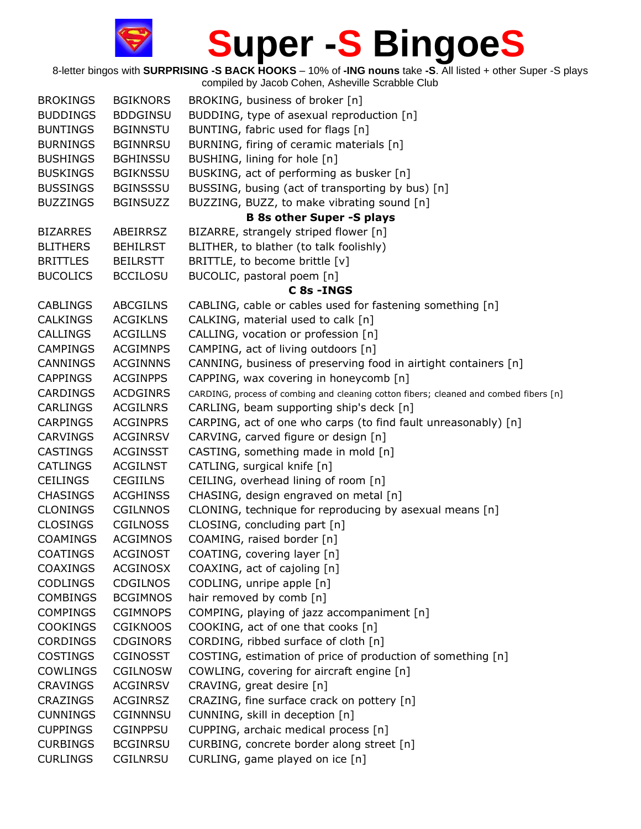

| <b>BROKINGS</b> | <b>BGIKNORS</b> | BROKING, business of broker [n]                                                       |
|-----------------|-----------------|---------------------------------------------------------------------------------------|
| <b>BUDDINGS</b> | <b>BDDGINSU</b> | BUDDING, type of asexual reproduction [n]                                             |
| <b>BUNTINGS</b> | <b>BGINNSTU</b> | BUNTING, fabric used for flags [n]                                                    |
| <b>BURNINGS</b> | <b>BGINNRSU</b> | BURNING, firing of ceramic materials [n]                                              |
| <b>BUSHINGS</b> | <b>BGHINSSU</b> | BUSHING, lining for hole [n]                                                          |
| <b>BUSKINGS</b> | <b>BGIKNSSU</b> | BUSKING, act of performing as busker [n]                                              |
| <b>BUSSINGS</b> | <b>BGINSSSU</b> | BUSSING, busing (act of transporting by bus) [n]                                      |
| <b>BUZZINGS</b> | <b>BGINSUZZ</b> | BUZZING, BUZZ, to make vibrating sound [n]                                            |
|                 |                 | <b>B 8s other Super -S plays</b>                                                      |
| <b>BIZARRES</b> | ABEIRRSZ        | BIZARRE, strangely striped flower [n]                                                 |
| <b>BLITHERS</b> | <b>BEHILRST</b> | BLITHER, to blather (to talk foolishly)                                               |
| <b>BRITTLES</b> | <b>BEILRSTT</b> | BRITTLE, to become brittle [v]                                                        |
| <b>BUCOLICS</b> | <b>BCCILOSU</b> | BUCOLIC, pastoral poem [n]                                                            |
|                 |                 | C 8s - INGS                                                                           |
| <b>CABLINGS</b> | <b>ABCGILNS</b> | CABLING, cable or cables used for fastening something [n]                             |
| <b>CALKINGS</b> | <b>ACGIKLNS</b> | CALKING, material used to calk [n]                                                    |
| <b>CALLINGS</b> | <b>ACGILLNS</b> | CALLING, vocation or profession [n]                                                   |
| <b>CAMPINGS</b> | <b>ACGIMNPS</b> | CAMPING, act of living outdoors [n]                                                   |
| CANNINGS        | <b>ACGINNNS</b> | CANNING, business of preserving food in airtight containers [n]                       |
| <b>CAPPINGS</b> | <b>ACGINPPS</b> | CAPPING, wax covering in honeycomb [n]                                                |
| <b>CARDINGS</b> | <b>ACDGINRS</b> | CARDING, process of combing and cleaning cotton fibers; cleaned and combed fibers [n] |
| <b>CARLINGS</b> | <b>ACGILNRS</b> | CARLING, beam supporting ship's deck [n]                                              |
| <b>CARPINGS</b> | <b>ACGINPRS</b> | CARPING, act of one who carps (to find fault unreasonably) [n]                        |
| <b>CARVINGS</b> | <b>ACGINRSV</b> | CARVING, carved figure or design [n]                                                  |
| <b>CASTINGS</b> | <b>ACGINSST</b> | CASTING, something made in mold [n]                                                   |
| <b>CATLINGS</b> | <b>ACGILNST</b> | CATLING, surgical knife [n]                                                           |
| <b>CEILINGS</b> | <b>CEGIILNS</b> | CEILING, overhead lining of room [n]                                                  |
| <b>CHASINGS</b> | <b>ACGHINSS</b> | CHASING, design engraved on metal [n]                                                 |
| <b>CLONINGS</b> | <b>CGILNNOS</b> | CLONING, technique for reproducing by asexual means [n]                               |
| <b>CLOSINGS</b> | <b>CGILNOSS</b> | CLOSING, concluding part [n]                                                          |
| <b>COAMINGS</b> | <b>ACGIMNOS</b> | COAMING, raised border [n]                                                            |
| <b>COATINGS</b> | <b>ACGINOST</b> | COATING, covering layer [n]                                                           |
| <b>COAXINGS</b> | <b>ACGINOSX</b> | COAXING, act of cajoling [n]                                                          |
| <b>CODLINGS</b> | <b>CDGILNOS</b> | CODLING, unripe apple [n]                                                             |
| <b>COMBINGS</b> | <b>BCGIMNOS</b> | hair removed by comb [n]                                                              |
| <b>COMPINGS</b> | <b>CGIMNOPS</b> | COMPING, playing of jazz accompaniment [n]                                            |
| <b>COOKINGS</b> | <b>CGIKNOOS</b> | COOKING, act of one that cooks [n]                                                    |
| <b>CORDINGS</b> | <b>CDGINORS</b> | CORDING, ribbed surface of cloth [n]                                                  |
| <b>COSTINGS</b> | <b>CGINOSST</b> | COSTING, estimation of price of production of something [n]                           |
| <b>COWLINGS</b> | <b>CGILNOSW</b> | COWLING, covering for aircraft engine [n]                                             |
| <b>CRAVINGS</b> | <b>ACGINRSV</b> | CRAVING, great desire [n]                                                             |
| CRAZINGS        | <b>ACGINRSZ</b> | CRAZING, fine surface crack on pottery [n]                                            |
| <b>CUNNINGS</b> | <b>CGINNNSU</b> | CUNNING, skill in deception [n]                                                       |
| <b>CUPPINGS</b> | <b>CGINPPSU</b> | CUPPING, archaic medical process [n]                                                  |
| <b>CURBINGS</b> | <b>BCGINRSU</b> | CURBING, concrete border along street [n]                                             |
| <b>CURLINGS</b> | <b>CGILNRSU</b> | CURLING, game played on ice [n]                                                       |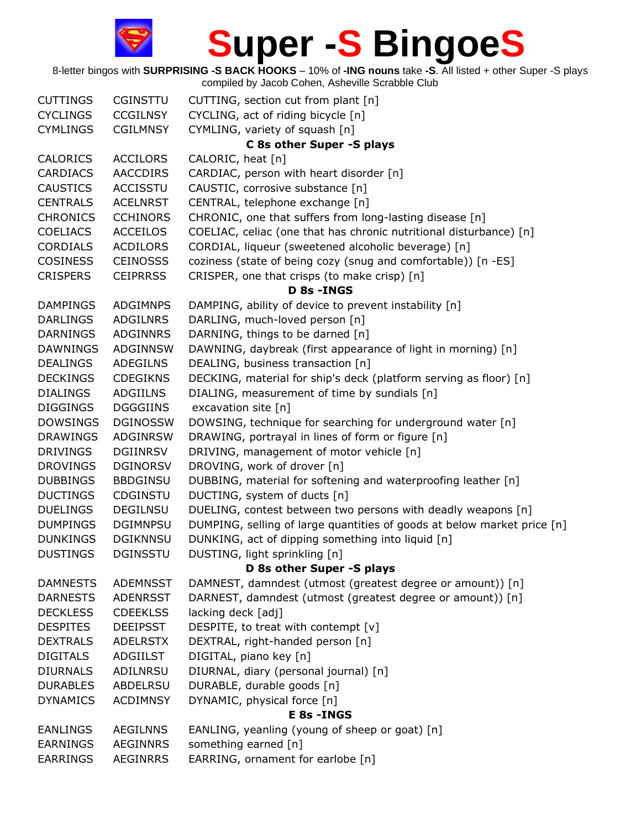| <b>CUTTINGS</b> | <b>CGINSTTU</b> | CUTTING, section cut from plant [n]                                     |  |
|-----------------|-----------------|-------------------------------------------------------------------------|--|
| <b>CYCLINGS</b> | <b>CCGILNSY</b> | CYCLING, act of riding bicycle [n]                                      |  |
| <b>CYMLINGS</b> | <b>CGILMNSY</b> | CYMLING, variety of squash [n]                                          |  |
|                 |                 | C 8s other Super -S plays                                               |  |
| <b>CALORICS</b> | <b>ACCILORS</b> | CALORIC, heat [n]                                                       |  |
| <b>CARDIACS</b> | <b>AACCDIRS</b> | CARDIAC, person with heart disorder [n]                                 |  |
| <b>CAUSTICS</b> | <b>ACCISSTU</b> | CAUSTIC, corrosive substance [n]                                        |  |
| <b>CENTRALS</b> | <b>ACELNRST</b> | CENTRAL, telephone exchange [n]                                         |  |
| <b>CHRONICS</b> | <b>CCHINORS</b> | CHRONIC, one that suffers from long-lasting disease [n]                 |  |
| <b>COELIACS</b> | <b>ACCEILOS</b> | COELIAC, celiac (one that has chronic nutritional disturbance) [n]      |  |
| <b>CORDIALS</b> | <b>ACDILORS</b> | CORDIAL, liqueur (sweetened alcoholic beverage) [n]                     |  |
| <b>COSINESS</b> | <b>CEINOSSS</b> | coziness (state of being cozy (snug and comfortable)) [n -ES]           |  |
| <b>CRISPERS</b> | <b>CEIPRRSS</b> | CRISPER, one that crisps (to make crisp) [n]                            |  |
|                 |                 | D 8s - INGS                                                             |  |
| <b>DAMPINGS</b> | <b>ADGIMNPS</b> | DAMPING, ability of device to prevent instability [n]                   |  |
| <b>DARLINGS</b> | ADGILNRS        | DARLING, much-loved person [n]                                          |  |
| <b>DARNINGS</b> | <b>ADGINNRS</b> | DARNING, things to be darned [n]                                        |  |
| <b>DAWNINGS</b> | <b>ADGINNSW</b> | DAWNING, daybreak (first appearance of light in morning) [n]            |  |
| <b>DEALINGS</b> | <b>ADEGILNS</b> | DEALING, business transaction [n]                                       |  |
| <b>DECKINGS</b> | <b>CDEGIKNS</b> | DECKING, material for ship's deck (platform serving as floor) [n]       |  |
| <b>DIALINGS</b> | <b>ADGIILNS</b> | DIALING, measurement of time by sundials [n]                            |  |
| <b>DIGGINGS</b> | <b>DGGGIINS</b> | excavation site [n]                                                     |  |
| <b>DOWSINGS</b> | <b>DGINOSSW</b> | DOWSING, technique for searching for underground water [n]              |  |
| <b>DRAWINGS</b> | <b>ADGINRSW</b> | DRAWING, portrayal in lines of form or figure [n]                       |  |
| <b>DRIVINGS</b> | <b>DGIINRSV</b> | DRIVING, management of motor vehicle [n]                                |  |
| <b>DROVINGS</b> | <b>DGINORSV</b> | DROVING, work of drover [n]                                             |  |
| <b>DUBBINGS</b> | <b>BBDGINSU</b> | DUBBING, material for softening and waterproofing leather [n]           |  |
| <b>DUCTINGS</b> | CDGINSTU        | DUCTING, system of ducts [n]                                            |  |
| <b>DUELINGS</b> | <b>DEGILNSU</b> | DUELING, contest between two persons with deadly weapons [n]            |  |
| <b>DUMPINGS</b> | <b>DGIMNPSU</b> | DUMPING, selling of large quantities of goods at below market price [n] |  |
| <b>DUNKINGS</b> | <b>DGIKNNSU</b> | DUNKING, act of dipping something into liquid [n]                       |  |
| <b>DUSTINGS</b> | <b>DGINSSTU</b> | DUSTING, light sprinkling [n]                                           |  |
|                 |                 | D 8s other Super -S plays                                               |  |
| <b>DAMNESTS</b> | <b>ADEMNSST</b> | DAMNEST, damndest (utmost (greatest degree or amount)) [n]              |  |
| <b>DARNESTS</b> | <b>ADENRSST</b> | DARNEST, damndest (utmost (greatest degree or amount)) [n]              |  |
| <b>DECKLESS</b> | <b>CDEEKLSS</b> | lacking deck [adj]                                                      |  |
| <b>DESPITES</b> | <b>DEEIPSST</b> | DESPITE, to treat with contempt [v]                                     |  |
| <b>DEXTRALS</b> | <b>ADELRSTX</b> | DEXTRAL, right-handed person [n]                                        |  |
| <b>DIGITALS</b> | ADGIILST        | DIGITAL, piano key [n]                                                  |  |
| <b>DIURNALS</b> | ADILNRSU        | DIURNAL, diary (personal journal) [n]                                   |  |
| <b>DURABLES</b> | ABDELRSU        | DURABLE, durable goods [n]                                              |  |
| <b>DYNAMICS</b> | <b>ACDIMNSY</b> | DYNAMIC, physical force [n]                                             |  |
|                 |                 | <b>E 8s - INGS</b>                                                      |  |
| <b>EANLINGS</b> | <b>AEGILNNS</b> | EANLING, yeanling (young of sheep or goat) [n]                          |  |
| <b>EARNINGS</b> | <b>AEGINNRS</b> | something earned [n]                                                    |  |
| <b>EARRINGS</b> | <b>AEGINRRS</b> | EARRING, ornament for earlobe [n]                                       |  |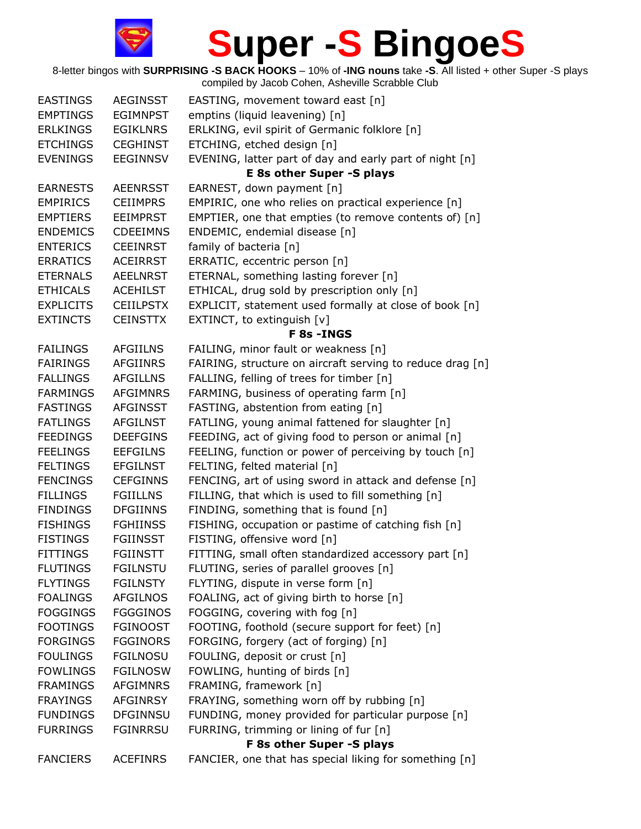| <b>EASTINGS</b>  | <b>AEGINSST</b>  | EASTING, movement toward east [n]                         |
|------------------|------------------|-----------------------------------------------------------|
| <b>EMPTINGS</b>  | <b>EGIMNPST</b>  | emptins (liquid leavening) [n]                            |
| <b>ERLKINGS</b>  | <b>EGIKLNRS</b>  | ERLKING, evil spirit of Germanic folklore [n]             |
| <b>ETCHINGS</b>  | <b>CEGHINST</b>  | ETCHING, etched design [n]                                |
| <b>EVENINGS</b>  | <b>EEGINNSV</b>  | EVENING, latter part of day and early part of night [n]   |
|                  |                  | <b>E 8s other Super -S plays</b>                          |
| <b>EARNESTS</b>  | <b>AEENRSST</b>  | EARNEST, down payment [n]                                 |
| <b>EMPIRICS</b>  | <b>CEIIMPRS</b>  | EMPIRIC, one who relies on practical experience [n]       |
| <b>EMPTIERS</b>  | <b>EEIMPRST</b>  | EMPTIER, one that empties (to remove contents of) [n]     |
| <b>ENDEMICS</b>  | <b>CDEEIMNS</b>  | ENDEMIC, endemial disease [n]                             |
| <b>ENTERICS</b>  | <b>CEEINRST</b>  | family of bacteria [n]                                    |
| <b>ERRATICS</b>  | <b>ACEIRRST</b>  | ERRATIC, eccentric person [n]                             |
| <b>ETERNALS</b>  | <b>AEELNRST</b>  | ETERNAL, something lasting forever [n]                    |
| <b>ETHICALS</b>  | <b>ACEHILST</b>  | ETHICAL, drug sold by prescription only [n]               |
| <b>EXPLICITS</b> | <b>CEIILPSTX</b> | EXPLICIT, statement used formally at close of book [n]    |
| <b>EXTINCTS</b>  | <b>CEINSTTX</b>  | EXTINCT, to extinguish [v]                                |
|                  |                  | <b>F 8s - INGS</b>                                        |
| <b>FAILINGS</b>  | <b>AFGIILNS</b>  | FAILING, minor fault or weakness [n]                      |
| <b>FAIRINGS</b>  | <b>AFGIINRS</b>  | FAIRING, structure on aircraft serving to reduce drag [n] |
| <b>FALLINGS</b>  | <b>AFGILLNS</b>  | FALLING, felling of trees for timber [n]                  |
| <b>FARMINGS</b>  | <b>AFGIMNRS</b>  | FARMING, business of operating farm [n]                   |
| <b>FASTINGS</b>  | <b>AFGINSST</b>  | FASTING, abstention from eating [n]                       |
| <b>FATLINGS</b>  | <b>AFGILNST</b>  | FATLING, young animal fattened for slaughter [n]          |
| <b>FEEDINGS</b>  | <b>DEEFGINS</b>  | FEEDING, act of giving food to person or animal [n]       |
| <b>FEELINGS</b>  | <b>EEFGILNS</b>  | FEELING, function or power of perceiving by touch [n]     |
| <b>FELTINGS</b>  | <b>EFGILNST</b>  | FELTING, felted material [n]                              |
| <b>FENCINGS</b>  | <b>CEFGINNS</b>  | FENCING, art of using sword in attack and defense [n]     |
| <b>FILLINGS</b>  | <b>FGIILLNS</b>  | FILLING, that which is used to fill something [n]         |
| <b>FINDINGS</b>  | <b>DFGIINNS</b>  | FINDING, something that is found [n]                      |
| <b>FISHINGS</b>  | <b>FGHIINSS</b>  | FISHING, occupation or pastime of catching fish [n]       |
| <b>FISTINGS</b>  | <b>FGIINSST</b>  | FISTING, offensive word [n]                               |
| <b>FITTINGS</b>  | <b>FGIINSTT</b>  | FITTING, small often standardized accessory part [n]      |
| <b>FLUTINGS</b>  | <b>FGILNSTU</b>  | FLUTING, series of parallel grooves [n]                   |
| <b>FLYTINGS</b>  | <b>FGILNSTY</b>  | FLYTING, dispute in verse form [n]                        |
| <b>FOALINGS</b>  | <b>AFGILNOS</b>  | FOALING, act of giving birth to horse [n]                 |
| <b>FOGGINGS</b>  | <b>FGGGINOS</b>  | FOGGING, covering with fog [n]                            |
| <b>FOOTINGS</b>  | <b>FGINOOST</b>  | FOOTING, foothold (secure support for feet) [n]           |
| <b>FORGINGS</b>  | <b>FGGINORS</b>  | FORGING, forgery (act of forging) [n]                     |
| <b>FOULINGS</b>  | <b>FGILNOSU</b>  | FOULING, deposit or crust [n]                             |
| <b>FOWLINGS</b>  | <b>FGILNOSW</b>  | FOWLING, hunting of birds [n]                             |
| <b>FRAMINGS</b>  | <b>AFGIMNRS</b>  | FRAMING, framework [n]                                    |
| <b>FRAYINGS</b>  | <b>AFGINRSY</b>  | FRAYING, something worn off by rubbing [n]                |
| <b>FUNDINGS</b>  | <b>DFGINNSU</b>  | FUNDING, money provided for particular purpose [n]        |
| <b>FURRINGS</b>  | <b>FGINRRSU</b>  | FURRING, trimming or lining of fur [n]                    |
|                  |                  | F 8s other Super -S plays                                 |
| <b>FANCIERS</b>  | <b>ACEFINRS</b>  | FANCIER, one that has special liking for something [n]    |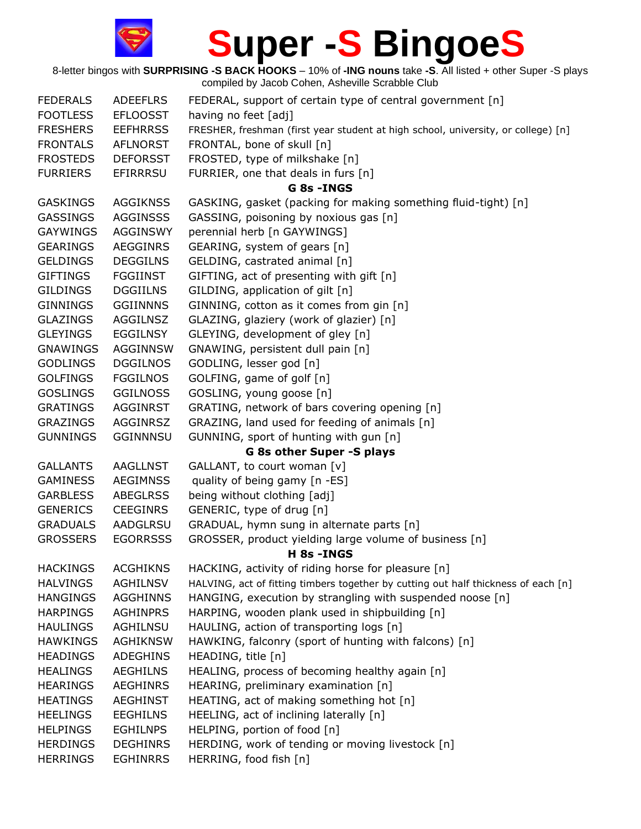| <b>FEDERALS</b>           | <b>ADEEFLRS</b> | FEDERAL, support of certain type of central government [n]                         |  |  |
|---------------------------|-----------------|------------------------------------------------------------------------------------|--|--|
| <b>FOOTLESS</b>           | <b>EFLOOSST</b> | having no feet [adj]                                                               |  |  |
| <b>FRESHERS</b>           | <b>EEFHRRSS</b> | FRESHER, freshman (first year student at high school, university, or college) [n]  |  |  |
| <b>FRONTALS</b>           | <b>AFLNORST</b> | FRONTAL, bone of skull [n]                                                         |  |  |
| <b>FROSTEDS</b>           | <b>DEFORSST</b> | FROSTED, type of milkshake [n]                                                     |  |  |
| <b>FURRIERS</b>           | EFIRRRSU        | FURRIER, one that deals in furs [n]                                                |  |  |
|                           |                 | G 8s - INGS                                                                        |  |  |
| <b>GASKINGS</b>           | <b>AGGIKNSS</b> | GASKING, gasket (packing for making something fluid-tight) [n]                     |  |  |
| <b>GASSINGS</b>           | <b>AGGINSSS</b> | GASSING, poisoning by noxious gas [n]                                              |  |  |
| <b>GAYWINGS</b>           | <b>AGGINSWY</b> | perennial herb [n GAYWINGS]                                                        |  |  |
| <b>GEARINGS</b>           | <b>AEGGINRS</b> | GEARING, system of gears [n]                                                       |  |  |
| <b>GELDINGS</b>           | <b>DEGGILNS</b> | GELDING, castrated animal [n]                                                      |  |  |
| <b>GIFTINGS</b>           | <b>FGGIINST</b> | GIFTING, act of presenting with gift [n]                                           |  |  |
| <b>GILDINGS</b>           | <b>DGGIILNS</b> | GILDING, application of gilt [n]                                                   |  |  |
| <b>GINNINGS</b>           | <b>GGIINNNS</b> | GINNING, cotton as it comes from gin [n]                                           |  |  |
| <b>GLAZINGS</b>           | <b>AGGILNSZ</b> | GLAZING, glaziery (work of glazier) [n]                                            |  |  |
| <b>GLEYINGS</b>           | <b>EGGILNSY</b> | GLEYING, development of gley [n]                                                   |  |  |
| <b>GNAWINGS</b>           | <b>AGGINNSW</b> | GNAWING, persistent dull pain [n]                                                  |  |  |
| <b>GODLINGS</b>           | <b>DGGILNOS</b> | GODLING, lesser god [n]                                                            |  |  |
| <b>GOLFINGS</b>           | <b>FGGILNOS</b> | GOLFING, game of golf [n]                                                          |  |  |
| <b>GOSLINGS</b>           | <b>GGILNOSS</b> | GOSLING, young goose [n]                                                           |  |  |
| <b>GRATINGS</b>           | <b>AGGINRST</b> | GRATING, network of bars covering opening [n]                                      |  |  |
| <b>GRAZINGS</b>           | AGGINRSZ        | GRAZING, land used for feeding of animals [n]                                      |  |  |
| <b>GUNNINGS</b>           | <b>GGINNNSU</b> | GUNNING, sport of hunting with gun [n]                                             |  |  |
| G 8s other Super -S plays |                 |                                                                                    |  |  |
| <b>GALLANTS</b>           | <b>AAGLLNST</b> | GALLANT, to court woman [v]                                                        |  |  |
| <b>GAMINESS</b>           | <b>AEGIMNSS</b> | quality of being gamy [n -ES]                                                      |  |  |
| <b>GARBLESS</b>           | <b>ABEGLRSS</b> | being without clothing [adj]                                                       |  |  |
| <b>GENERICS</b>           | <b>CEEGINRS</b> | GENERIC, type of drug [n]                                                          |  |  |
| <b>GRADUALS</b>           | AADGLRSU        | GRADUAL, hymn sung in alternate parts [n]                                          |  |  |
| <b>GROSSERS</b>           | <b>EGORRSSS</b> | GROSSER, product yielding large volume of business [n]                             |  |  |
|                           |                 | H 8s - INGS                                                                        |  |  |
| <b>HACKINGS</b>           | <b>ACGHIKNS</b> | HACKING, activity of riding horse for pleasure [n]                                 |  |  |
| <b>HALVINGS</b>           | <b>AGHILNSV</b> | HALVING, act of fitting timbers together by cutting out half thickness of each [n] |  |  |
| <b>HANGINGS</b>           | <b>AGGHINNS</b> | HANGING, execution by strangling with suspended noose [n]                          |  |  |
| <b>HARPINGS</b>           | <b>AGHINPRS</b> | HARPING, wooden plank used in shipbuilding [n]                                     |  |  |
| <b>HAULINGS</b>           | AGHILNSU        | HAULING, action of transporting logs [n]                                           |  |  |
| <b>HAWKINGS</b>           | <b>AGHIKNSW</b> | HAWKING, falconry (sport of hunting with falcons) [n]                              |  |  |
| <b>HEADINGS</b>           | <b>ADEGHINS</b> | HEADING, title [n]                                                                 |  |  |
| <b>HEALINGS</b>           | <b>AEGHILNS</b> | HEALING, process of becoming healthy again [n]                                     |  |  |
| <b>HEARINGS</b>           | <b>AEGHINRS</b> | HEARING, preliminary examination [n]                                               |  |  |
| <b>HEATINGS</b>           | <b>AEGHINST</b> | HEATING, act of making something hot [n]                                           |  |  |
| <b>HEELINGS</b>           | <b>EEGHILNS</b> | HEELING, act of inclining laterally [n]                                            |  |  |
| <b>HELPINGS</b>           | <b>EGHILNPS</b> | HELPING, portion of food [n]                                                       |  |  |
| <b>HERDINGS</b>           | <b>DEGHINRS</b> | HERDING, work of tending or moving livestock [n]                                   |  |  |
| <b>HERRINGS</b>           | <b>EGHINRRS</b> | HERRING, food fish [n]                                                             |  |  |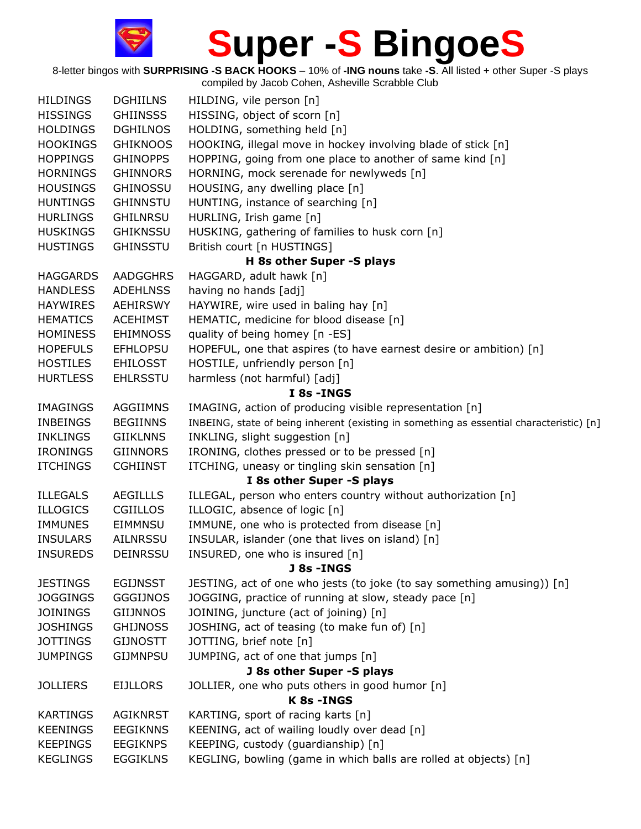| <b>HILDINGS</b> | <b>DGHIILNS</b> | HILDING, vile person [n]                                                                 |
|-----------------|-----------------|------------------------------------------------------------------------------------------|
| <b>HISSINGS</b> | <b>GHIINSSS</b> | HISSING, object of scorn [n]                                                             |
| <b>HOLDINGS</b> | <b>DGHILNOS</b> | HOLDING, something held [n]                                                              |
| <b>HOOKINGS</b> | <b>GHIKNOOS</b> | HOOKING, illegal move in hockey involving blade of stick [n]                             |
| <b>HOPPINGS</b> | <b>GHINOPPS</b> | HOPPING, going from one place to another of same kind [n]                                |
| <b>HORNINGS</b> | <b>GHINNORS</b> | HORNING, mock serenade for newlyweds [n]                                                 |
| <b>HOUSINGS</b> | <b>GHINOSSU</b> | HOUSING, any dwelling place [n]                                                          |
| <b>HUNTINGS</b> | <b>GHINNSTU</b> | HUNTING, instance of searching [n]                                                       |
| <b>HURLINGS</b> | <b>GHILNRSU</b> | HURLING, Irish game [n]                                                                  |
| <b>HUSKINGS</b> | <b>GHIKNSSU</b> | HUSKING, gathering of families to husk corn [n]                                          |
| <b>HUSTINGS</b> | <b>GHINSSTU</b> | British court [n HUSTINGS]                                                               |
|                 |                 | H 8s other Super -S plays                                                                |
| <b>HAGGARDS</b> | <b>AADGGHRS</b> | HAGGARD, adult hawk [n]                                                                  |
| <b>HANDLESS</b> | <b>ADEHLNSS</b> | having no hands [adj]                                                                    |
| <b>HAYWIRES</b> | <b>AEHIRSWY</b> | HAYWIRE, wire used in baling hay [n]                                                     |
| <b>HEMATICS</b> | <b>ACEHIMST</b> | HEMATIC, medicine for blood disease [n]                                                  |
| <b>HOMINESS</b> | <b>EHIMNOSS</b> | quality of being homey [n -ES]                                                           |
| <b>HOPEFULS</b> | <b>EFHLOPSU</b> | HOPEFUL, one that aspires (to have earnest desire or ambition) [n]                       |
| <b>HOSTILES</b> | <b>EHILOSST</b> | HOSTILE, unfriendly person [n]                                                           |
| <b>HURTLESS</b> | <b>EHLRSSTU</b> | harmless (not harmful) [adj]                                                             |
|                 |                 | I 8s - INGS                                                                              |
| <b>IMAGINGS</b> | <b>AGGIIMNS</b> | IMAGING, action of producing visible representation [n]                                  |
| <b>INBEINGS</b> | <b>BEGIINNS</b> | INBEING, state of being inherent (existing in something as essential characteristic) [n] |
| <b>INKLINGS</b> | <b>GIIKLNNS</b> | INKLING, slight suggestion [n]                                                           |
| <b>IRONINGS</b> | <b>GIINNORS</b> | IRONING, clothes pressed or to be pressed [n]                                            |
| <b>ITCHINGS</b> | <b>CGHIINST</b> | ITCHING, uneasy or tingling skin sensation [n]                                           |
|                 |                 | I 8s other Super -S plays                                                                |
| <b>ILLEGALS</b> | <b>AEGILLLS</b> | ILLEGAL, person who enters country without authorization [n]                             |
| <b>ILLOGICS</b> | CGIILLOS        | ILLOGIC, absence of logic [n]                                                            |
| <b>IMMUNES</b>  | EIMMNSU         | IMMUNE, one who is protected from disease [n]                                            |
| <b>INSULARS</b> | <b>AILNRSSU</b> | INSULAR, islander (one that lives on island) [n]                                         |
| <b>INSUREDS</b> | <b>DEINRSSU</b> | INSURED, one who is insured [n]                                                          |
|                 |                 | J 8s -INGS                                                                               |
| <b>JESTINGS</b> | <b>EGIJNSST</b> | JESTING, act of one who jests (to joke (to say something amusing)) [n]                   |
| <b>JOGGINGS</b> | <b>GGGIJNOS</b> | JOGGING, practice of running at slow, steady pace [n]                                    |
| <b>JOININGS</b> | <b>GIIJNNOS</b> | JOINING, juncture (act of joining) [n]                                                   |
| <b>JOSHINGS</b> | <b>GHIJNOSS</b> | JOSHING, act of teasing (to make fun of) [n]                                             |
| <b>JOTTINGS</b> | <b>GIJNOSTT</b> | JOTTING, brief note [n]                                                                  |
| <b>JUMPINGS</b> | <b>GIJMNPSU</b> | JUMPING, act of one that jumps [n]                                                       |
|                 |                 | J 8s other Super -S plays                                                                |
| <b>JOLLIERS</b> | <b>EIJLLORS</b> | JOLLIER, one who puts others in good humor [n]                                           |
|                 |                 | K 8s - INGS                                                                              |
| <b>KARTINGS</b> | <b>AGIKNRST</b> | KARTING, sport of racing karts [n]                                                       |
| <b>KEENINGS</b> | <b>EEGIKNNS</b> | KEENING, act of wailing loudly over dead [n]                                             |
| <b>KEEPINGS</b> | <b>EEGIKNPS</b> | KEEPING, custody (guardianship) [n]                                                      |
| <b>KEGLINGS</b> | <b>EGGIKLNS</b> | KEGLING, bowling (game in which balls are rolled at objects) [n]                         |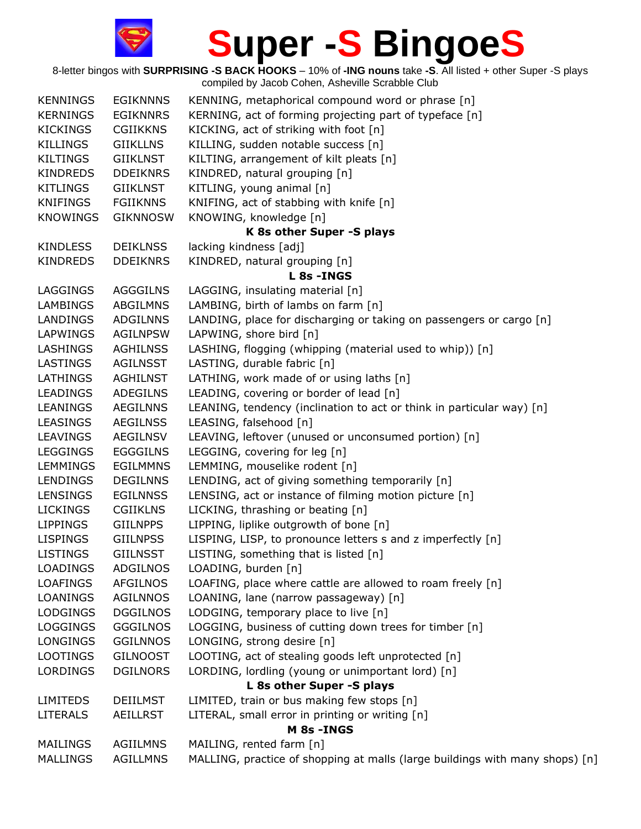

| <b>KENNINGS</b> | <b>EGIKNNNS</b> | KENNING, metaphorical compound word or phrase [n]                            |
|-----------------|-----------------|------------------------------------------------------------------------------|
| <b>KERNINGS</b> | <b>EGIKNNRS</b> | KERNING, act of forming projecting part of typeface [n]                      |
| <b>KICKINGS</b> | <b>CGIIKKNS</b> | KICKING, act of striking with foot [n]                                       |
| <b>KILLINGS</b> | <b>GIIKLLNS</b> | KILLING, sudden notable success [n]                                          |
| <b>KILTINGS</b> | <b>GIIKLNST</b> | KILTING, arrangement of kilt pleats [n]                                      |
| <b>KINDREDS</b> | <b>DDEIKNRS</b> | KINDRED, natural grouping [n]                                                |
| <b>KITLINGS</b> | <b>GIIKLNST</b> | KITLING, young animal [n]                                                    |
| <b>KNIFINGS</b> | <b>FGIIKNNS</b> | KNIFING, act of stabbing with knife [n]                                      |
| <b>KNOWINGS</b> | <b>GIKNNOSW</b> | KNOWING, knowledge [n]                                                       |
|                 |                 | K 8s other Super -S plays                                                    |
| <b>KINDLESS</b> | <b>DEIKLNSS</b> | lacking kindness [adj]                                                       |
| <b>KINDREDS</b> | <b>DDEIKNRS</b> | KINDRED, natural grouping [n]                                                |
|                 |                 | L 8s - INGS                                                                  |
| LAGGINGS        | <b>AGGGILNS</b> | LAGGING, insulating material [n]                                             |
| <b>LAMBINGS</b> | <b>ABGILMNS</b> | LAMBING, birth of lambs on farm [n]                                          |
| LANDINGS        | <b>ADGILNNS</b> | LANDING, place for discharging or taking on passengers or cargo [n]          |
| <b>LAPWINGS</b> | <b>AGILNPSW</b> | LAPWING, shore bird [n]                                                      |
| LASHINGS        | <b>AGHILNSS</b> | LASHING, flogging (whipping (material used to whip)) [n]                     |
| LASTINGS        | <b>AGILNSST</b> | LASTING, durable fabric [n]                                                  |
| <b>LATHINGS</b> | <b>AGHILNST</b> | LATHING, work made of or using laths [n]                                     |
| <b>LEADINGS</b> | <b>ADEGILNS</b> | LEADING, covering or border of lead [n]                                      |
| LEANINGS        | <b>AEGILNNS</b> | LEANING, tendency (inclination to act or think in particular way) [n]        |
| <b>LEASINGS</b> | <b>AEGILNSS</b> | LEASING, falsehood [n]                                                       |
| <b>LEAVINGS</b> | <b>AEGILNSV</b> | LEAVING, leftover (unused or unconsumed portion) [n]                         |
| <b>LEGGINGS</b> | <b>EGGGILNS</b> | LEGGING, covering for leg [n]                                                |
| <b>LEMMINGS</b> | <b>EGILMMNS</b> | LEMMING, mouselike rodent [n]                                                |
| <b>LENDINGS</b> | <b>DEGILNNS</b> | LENDING, act of giving something temporarily [n]                             |
| <b>LENSINGS</b> | <b>EGILNNSS</b> | LENSING, act or instance of filming motion picture [n]                       |
| <b>LICKINGS</b> | <b>CGIIKLNS</b> | LICKING, thrashing or beating [n]                                            |
| <b>LIPPINGS</b> | <b>GIILNPPS</b> | LIPPING, liplike outgrowth of bone [n]                                       |
| <b>LISPINGS</b> | <b>GIILNPSS</b> | LISPING, LISP, to pronounce letters s and z imperfectly [n]                  |
| <b>LISTINGS</b> | <b>GIILNSST</b> | LISTING, something that is listed [n]                                        |
| <b>LOADINGS</b> | <b>ADGILNOS</b> | LOADING, burden [n]                                                          |
| <b>LOAFINGS</b> | <b>AFGILNOS</b> | LOAFING, place where cattle are allowed to roam freely [n]                   |
| <b>LOANINGS</b> | <b>AGILNNOS</b> | LOANING, lane (narrow passageway) [n]                                        |
| <b>LODGINGS</b> | <b>DGGILNOS</b> | LODGING, temporary place to live [n]                                         |
| <b>LOGGINGS</b> | <b>GGGILNOS</b> | LOGGING, business of cutting down trees for timber [n]                       |
| <b>LONGINGS</b> | <b>GGILNNOS</b> | LONGING, strong desire [n]                                                   |
| <b>LOOTINGS</b> | <b>GILNOOST</b> | LOOTING, act of stealing goods left unprotected [n]                          |
| <b>LORDINGS</b> | <b>DGILNORS</b> | LORDING, lordling (young or unimportant lord) [n]                            |
|                 |                 | L 8s other Super -S plays                                                    |
| <b>LIMITEDS</b> | <b>DEIILMST</b> | LIMITED, train or bus making few stops [n]                                   |
| <b>LITERALS</b> | <b>AEILLRST</b> | LITERAL, small error in printing or writing [n]                              |
|                 |                 | M 8s - INGS                                                                  |
| <b>MAILINGS</b> | <b>AGIILMNS</b> | MAILING, rented farm [n]                                                     |
| <b>MALLINGS</b> | AGILLMNS        | MALLING, practice of shopping at malls (large buildings with many shops) [n] |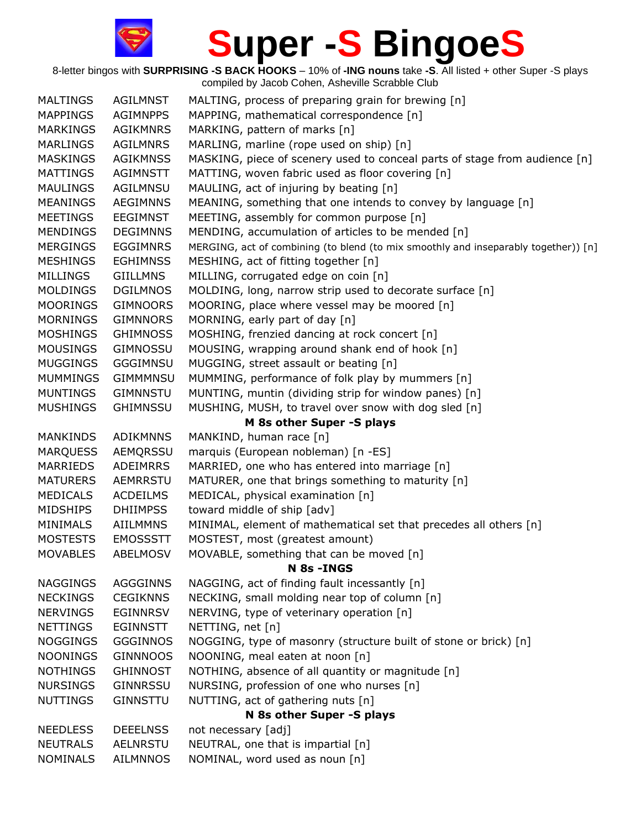| <b>MALTINGS</b> | <b>AGILMNST</b> | MALTING, process of preparing grain for brewing [n]                                 |
|-----------------|-----------------|-------------------------------------------------------------------------------------|
| <b>MAPPINGS</b> | <b>AGIMNPPS</b> | MAPPING, mathematical correspondence [n]                                            |
| <b>MARKINGS</b> | <b>AGIKMNRS</b> | MARKING, pattern of marks [n]                                                       |
| <b>MARLINGS</b> | <b>AGILMNRS</b> | MARLING, marline (rope used on ship) [n]                                            |
| <b>MASKINGS</b> | <b>AGIKMNSS</b> | MASKING, piece of scenery used to conceal parts of stage from audience [n]          |
| <b>MATTINGS</b> | AGIMNSTT        | MATTING, woven fabric used as floor covering [n]                                    |
| <b>MAULINGS</b> | AGILMNSU        | MAULING, act of injuring by beating [n]                                             |
| <b>MEANINGS</b> | <b>AEGIMNNS</b> | MEANING, something that one intends to convey by language [n]                       |
| <b>MEETINGS</b> | <b>EEGIMNST</b> | MEETING, assembly for common purpose [n]                                            |
| <b>MENDINGS</b> | <b>DEGIMNNS</b> | MENDING, accumulation of articles to be mended [n]                                  |
| <b>MERGINGS</b> | <b>EGGIMNRS</b> | MERGING, act of combining (to blend (to mix smoothly and inseparably together)) [n] |
| <b>MESHINGS</b> | <b>EGHIMNSS</b> | MESHING, act of fitting together [n]                                                |
| <b>MILLINGS</b> | <b>GIILLMNS</b> | MILLING, corrugated edge on coin [n]                                                |
| <b>MOLDINGS</b> | <b>DGILMNOS</b> | MOLDING, long, narrow strip used to decorate surface [n]                            |
| <b>MOORINGS</b> | <b>GIMNOORS</b> | MOORING, place where vessel may be moored [n]                                       |
| <b>MORNINGS</b> | <b>GIMNNORS</b> | MORNING, early part of day [n]                                                      |
| <b>MOSHINGS</b> | <b>GHIMNOSS</b> | MOSHING, frenzied dancing at rock concert [n]                                       |
| <b>MOUSINGS</b> | GIMNOSSU        | MOUSING, wrapping around shank end of hook [n]                                      |
| <b>MUGGINGS</b> | <b>GGGIMNSU</b> | MUGGING, street assault or beating [n]                                              |
| <b>MUMMINGS</b> | <b>GIMMMNSU</b> | MUMMING, performance of folk play by mummers [n]                                    |
| MUNTINGS        | <b>GIMNNSTU</b> | MUNTING, muntin (dividing strip for window panes) [n]                               |
| <b>MUSHINGS</b> | <b>GHIMNSSU</b> | MUSHING, MUSH, to travel over snow with dog sled [n]                                |
|                 |                 | M 8s other Super -S plays                                                           |
| <b>MANKINDS</b> | <b>ADIKMNNS</b> | MANKIND, human race [n]                                                             |
| <b>MARQUESS</b> | <b>AEMQRSSU</b> | marquis (European nobleman) [n -ES]                                                 |
| <b>MARRIEDS</b> | <b>ADEIMRRS</b> | MARRIED, one who has entered into marriage [n]                                      |
| <b>MATURERS</b> | AEMRRSTU        | MATURER, one that brings something to maturity [n]                                  |
| <b>MEDICALS</b> | <b>ACDEILMS</b> | MEDICAL, physical examination [n]                                                   |
| <b>MIDSHIPS</b> | <b>DHIIMPSS</b> | toward middle of ship [adv]                                                         |
| <b>MINIMALS</b> | <b>AIILMMNS</b> | MINIMAL, element of mathematical set that precedes all others [n]                   |
| <b>MOSTESTS</b> | <b>EMOSSSTT</b> | MOSTEST, most (greatest amount)                                                     |
| <b>MOVABLES</b> | <b>ABELMOSV</b> | MOVABLE, something that can be moved [n]                                            |
|                 |                 | N 8s - INGS                                                                         |
| <b>NAGGINGS</b> | <b>AGGGINNS</b> | NAGGING, act of finding fault incessantly [n]                                       |
| <b>NECKINGS</b> | <b>CEGIKNNS</b> | NECKING, small molding near top of column [n]                                       |
| <b>NERVINGS</b> | EGINNRSV        | NERVING, type of veterinary operation [n]                                           |
| <b>NETTINGS</b> | <b>EGINNSTT</b> | NETTING, net [n]                                                                    |
| <b>NOGGINGS</b> | <b>GGGINNOS</b> | NOGGING, type of masonry (structure built of stone or brick) [n]                    |
| <b>NOONINGS</b> | <b>GINNNOOS</b> | NOONING, meal eaten at noon [n]                                                     |
| <b>NOTHINGS</b> | <b>GHINNOST</b> | NOTHING, absence of all quantity or magnitude [n]                                   |
| <b>NURSINGS</b> | <b>GINNRSSU</b> | NURSING, profession of one who nurses [n]                                           |
| <b>NUTTINGS</b> | <b>GINNSTTU</b> | NUTTING, act of gathering nuts [n]                                                  |
|                 |                 | N 8s other Super -S plays                                                           |
| <b>NEEDLESS</b> | <b>DEEELNSS</b> | not necessary [adj]                                                                 |
| <b>NEUTRALS</b> | <b>AELNRSTU</b> | NEUTRAL, one that is impartial [n]                                                  |
| <b>NOMINALS</b> | <b>AILMNNOS</b> | NOMINAL, word used as noun [n]                                                      |
|                 |                 |                                                                                     |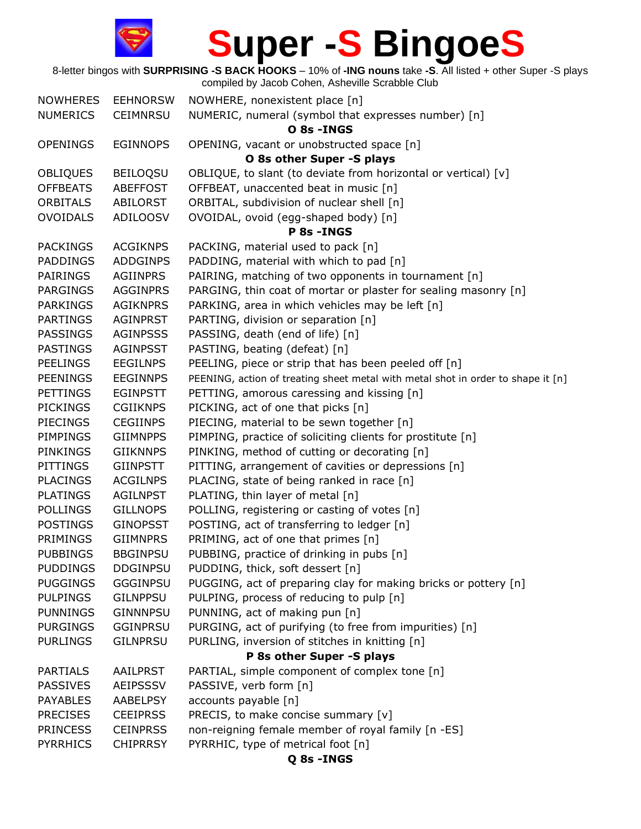

8-letter bingos with **SURPRISING -S BACK HOOKS** – 10% of **-ING nouns** take **-S**. All listed + other Super -S plays compiled by Jacob Cohen, Asheville Scrabble Club NOWHERES EEHNORSW NOWHERE, nonexistent place [n]

| <b>IVUWIILINLJ</b> | <b>LLIIIVUNJVV</b> | <b>NOWILLING, HOREASTER DIGCE [II]</b>                                           |
|--------------------|--------------------|----------------------------------------------------------------------------------|
| <b>NUMERICS</b>    | <b>CEIMNRSU</b>    | NUMERIC, numeral (symbol that expresses number) [n]                              |
|                    |                    | O 8s - INGS                                                                      |
| <b>OPENINGS</b>    | <b>EGINNOPS</b>    | OPENING, vacant or unobstructed space [n]                                        |
|                    |                    | O 8s other Super -S plays                                                        |
| <b>OBLIQUES</b>    | <b>BEILOOSU</b>    | OBLIQUE, to slant (to deviate from horizontal or vertical) [v]                   |
| <b>OFFBEATS</b>    | <b>ABEFFOST</b>    | OFFBEAT, unaccented beat in music [n]                                            |
| <b>ORBITALS</b>    | ABILORST           | ORBITAL, subdivision of nuclear shell [n]                                        |
| <b>OVOIDALS</b>    | <b>ADILOOSV</b>    | OVOIDAL, ovoid (egg-shaped body) [n]                                             |
|                    |                    | P 8s - INGS                                                                      |
| <b>PACKINGS</b>    | <b>ACGIKNPS</b>    | PACKING, material used to pack [n]                                               |
| <b>PADDINGS</b>    | <b>ADDGINPS</b>    | PADDING, material with which to pad [n]                                          |
| <b>PAIRINGS</b>    | <b>AGIINPRS</b>    | PAIRING, matching of two opponents in tournament [n]                             |
| PARGINGS           | <b>AGGINPRS</b>    | PARGING, thin coat of mortar or plaster for sealing masonry [n]                  |
| <b>PARKINGS</b>    | <b>AGIKNPRS</b>    | PARKING, area in which vehicles may be left [n]                                  |
| <b>PARTINGS</b>    | AGINPRST           | PARTING, division or separation [n]                                              |
| <b>PASSINGS</b>    | <b>AGINPSSS</b>    | PASSING, death (end of life) [n]                                                 |
| <b>PASTINGS</b>    | AGINPSST           | PASTING, beating (defeat) [n]                                                    |
| <b>PEELINGS</b>    | <b>EEGILNPS</b>    | PEELING, piece or strip that has been peeled off [n]                             |
| <b>PEENINGS</b>    | <b>EEGINNPS</b>    | PEENING, action of treating sheet metal with metal shot in order to shape it [n] |
| <b>PETTINGS</b>    | <b>EGINPSTT</b>    | PETTING, amorous caressing and kissing [n]                                       |
| <b>PICKINGS</b>    | <b>CGIIKNPS</b>    | PICKING, act of one that picks [n]                                               |
| <b>PIECINGS</b>    | <b>CEGIINPS</b>    | PIECING, material to be sewn together [n]                                        |
| PIMPINGS           | <b>GIIMNPPS</b>    | PIMPING, practice of soliciting clients for prostitute [n]                       |
| <b>PINKINGS</b>    | <b>GIIKNNPS</b>    | PINKING, method of cutting or decorating [n]                                     |
| PITTINGS           | <b>GIINPSTT</b>    | PITTING, arrangement of cavities or depressions [n]                              |
| <b>PLACINGS</b>    | <b>ACGILNPS</b>    | PLACING, state of being ranked in race [n]                                       |
| <b>PLATINGS</b>    | <b>AGILNPST</b>    | PLATING, thin layer of metal [n]                                                 |
| <b>POLLINGS</b>    | <b>GILLNOPS</b>    | POLLING, registering or casting of votes [n]                                     |
| <b>POSTINGS</b>    | <b>GINOPSST</b>    | POSTING, act of transferring to ledger [n]                                       |
| <b>PRIMINGS</b>    | <b>GIIMNPRS</b>    | PRIMING, act of one that primes [n]                                              |
| <b>PUBBINGS</b>    | <b>BBGINPSU</b>    | PUBBING, practice of drinking in pubs [n]                                        |
| <b>PUDDINGS</b>    | <b>DDGINPSU</b>    | PUDDING, thick, soft dessert [n]                                                 |
| <b>PUGGINGS</b>    | <b>GGGINPSU</b>    | PUGGING, act of preparing clay for making bricks or pottery [n]                  |
| <b>PULPINGS</b>    | <b>GILNPPSU</b>    | PULPING, process of reducing to pulp [n]                                         |
| <b>PUNNINGS</b>    | <b>GINNNPSU</b>    | PUNNING, act of making pun [n]                                                   |
| <b>PURGINGS</b>    | <b>GGINPRSU</b>    | PURGING, act of purifying (to free from impurities) [n]                          |
| <b>PURLINGS</b>    | <b>GILNPRSU</b>    | PURLING, inversion of stitches in knitting [n]                                   |
|                    |                    | P 8s other Super -S plays                                                        |
| <b>PARTIALS</b>    | AAILPRST           | PARTIAL, simple component of complex tone [n]                                    |
| <b>PASSIVES</b>    | <b>AEIPSSSV</b>    | PASSIVE, verb form [n]                                                           |
| <b>PAYABLES</b>    | AABELPSY           | accounts payable [n]                                                             |
| <b>PRECISES</b>    | <b>CEEIPRSS</b>    | PRECIS, to make concise summary [v]                                              |
| <b>PRINCESS</b>    | <b>CEINPRSS</b>    | non-reigning female member of royal family [n -ES]                               |
| <b>PYRRHICS</b>    | <b>CHIPRRSY</b>    | PYRRHIC, type of metrical foot [n]                                               |
|                    |                    | Q 8s - INGS                                                                      |
|                    |                    |                                                                                  |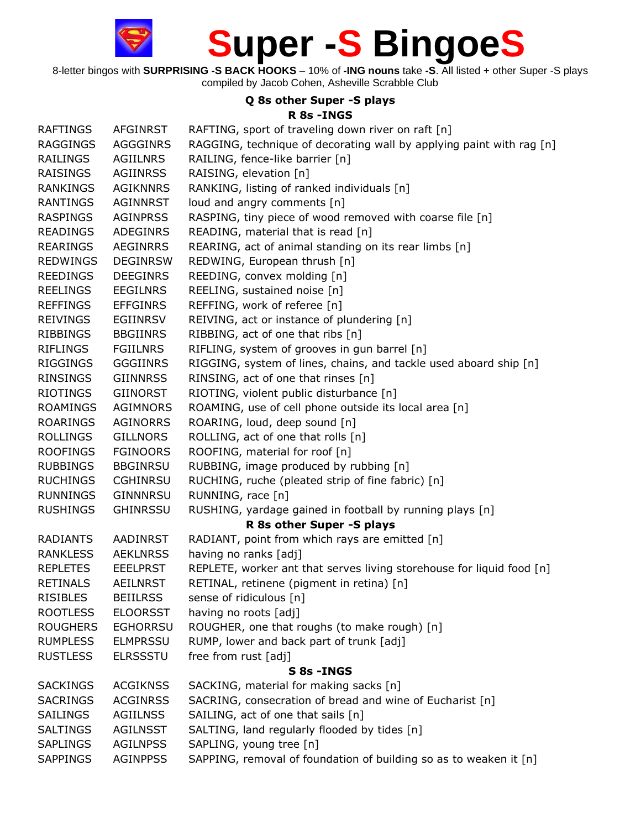8-letter bingos with **SURPRISING -S BACK HOOKS** – 10% of **-ING nouns** take **-S**. All listed + other Super -S plays compiled by Jacob Cohen, Asheville Scrabble Club

#### **Q 8s other Super -S plays**

#### **R 8s -INGS**

| <b>RAFTINGS</b> | <b>AFGINRST</b> | RAFTING, sport of traveling down river on raft [n]                    |
|-----------------|-----------------|-----------------------------------------------------------------------|
| <b>RAGGINGS</b> | <b>AGGGINRS</b> | RAGGING, technique of decorating wall by applying paint with rag [n]  |
| RAILINGS        | <b>AGIILNRS</b> | RAILING, fence-like barrier [n]                                       |
| RAISINGS        | AGIINRSS        | RAISING, elevation [n]                                                |
| RANKINGS        | <b>AGIKNNRS</b> | RANKING, listing of ranked individuals [n]                            |
| <b>RANTINGS</b> | <b>AGINNRST</b> | loud and angry comments [n]                                           |
| RASPINGS        | <b>AGINPRSS</b> | RASPING, tiny piece of wood removed with coarse file [n]              |
| <b>READINGS</b> | <b>ADEGINRS</b> | READING, material that is read [n]                                    |
| <b>REARINGS</b> | <b>AEGINRRS</b> | REARING, act of animal standing on its rear limbs [n]                 |
| <b>REDWINGS</b> | <b>DEGINRSW</b> | REDWING, European thrush [n]                                          |
| REEDINGS        | <b>DEEGINRS</b> | REEDING, convex molding [n]                                           |
| REELINGS        | <b>EEGILNRS</b> | REELING, sustained noise [n]                                          |
| <b>REFFINGS</b> | <b>EFFGINRS</b> | REFFING, work of referee [n]                                          |
| <b>REIVINGS</b> | <b>EGIINRSV</b> | REIVING, act or instance of plundering [n]                            |
| <b>RIBBINGS</b> | <b>BBGIINRS</b> | RIBBING, act of one that ribs [n]                                     |
| <b>RIFLINGS</b> | <b>FGIILNRS</b> | RIFLING, system of grooves in gun barrel [n]                          |
| RIGGINGS        | <b>GGGIINRS</b> | RIGGING, system of lines, chains, and tackle used aboard ship [n]     |
| <b>RINSINGS</b> | <b>GIINNRSS</b> | RINSING, act of one that rinses [n]                                   |
| RIOTINGS        | <b>GIINORST</b> | RIOTING, violent public disturbance [n]                               |
| <b>ROAMINGS</b> | <b>AGIMNORS</b> | ROAMING, use of cell phone outside its local area [n]                 |
| <b>ROARINGS</b> | <b>AGINORRS</b> | ROARING, loud, deep sound [n]                                         |
| <b>ROLLINGS</b> | <b>GILLNORS</b> | ROLLING, act of one that rolls [n]                                    |
| <b>ROOFINGS</b> | <b>FGINOORS</b> | ROOFING, material for roof [n]                                        |
| <b>RUBBINGS</b> | <b>BBGINRSU</b> | RUBBING, image produced by rubbing [n]                                |
| <b>RUCHINGS</b> | <b>CGHINRSU</b> | RUCHING, ruche (pleated strip of fine fabric) [n]                     |
| <b>RUNNINGS</b> | <b>GINNNRSU</b> | RUNNING, race [n]                                                     |
| <b>RUSHINGS</b> | <b>GHINRSSU</b> | RUSHING, yardage gained in football by running plays [n]              |
|                 |                 | R 8s other Super -S plays                                             |
| <b>RADIANTS</b> | AADINRST        | RADIANT, point from which rays are emitted [n]                        |
| <b>RANKLESS</b> | <b>AEKLNRSS</b> | having no ranks [adj]                                                 |
| REPLETES        | <b>EEELPRST</b> | REPLETE, worker ant that serves living storehouse for liquid food [n] |
| <b>RETINALS</b> | <b>AEILNRST</b> | RETINAL, retinene (pigment in retina) [n]                             |
| <b>RISIBLES</b> | <b>BEIILRSS</b> | sense of ridiculous [n]                                               |
| <b>ROOTLESS</b> | <b>ELOORSST</b> | having no roots [adj]                                                 |
| <b>ROUGHERS</b> | <b>EGHORRSU</b> | ROUGHER, one that roughs (to make rough) [n]                          |
| <b>RUMPLESS</b> | <b>ELMPRSSU</b> | RUMP, lower and back part of trunk [adj]                              |
| <b>RUSTLESS</b> | <b>ELRSSSTU</b> | free from rust [adj]                                                  |
|                 |                 | S 8s - INGS                                                           |
| <b>SACKINGS</b> | <b>ACGIKNSS</b> | SACKING, material for making sacks [n]                                |
| <b>SACRINGS</b> | <b>ACGINRSS</b> | SACRING, consecration of bread and wine of Eucharist [n]              |
| <b>SAILINGS</b> | <b>AGIILNSS</b> | SAILING, act of one that sails [n]                                    |
| <b>SALTINGS</b> | <b>AGILNSST</b> | SALTING, land regularly flooded by tides [n]                          |
| <b>SAPLINGS</b> | <b>AGILNPSS</b> | SAPLING, young tree [n]                                               |
| <b>SAPPINGS</b> | <b>AGINPPSS</b> | SAPPING, removal of foundation of building so as to weaken it [n]     |
|                 |                 |                                                                       |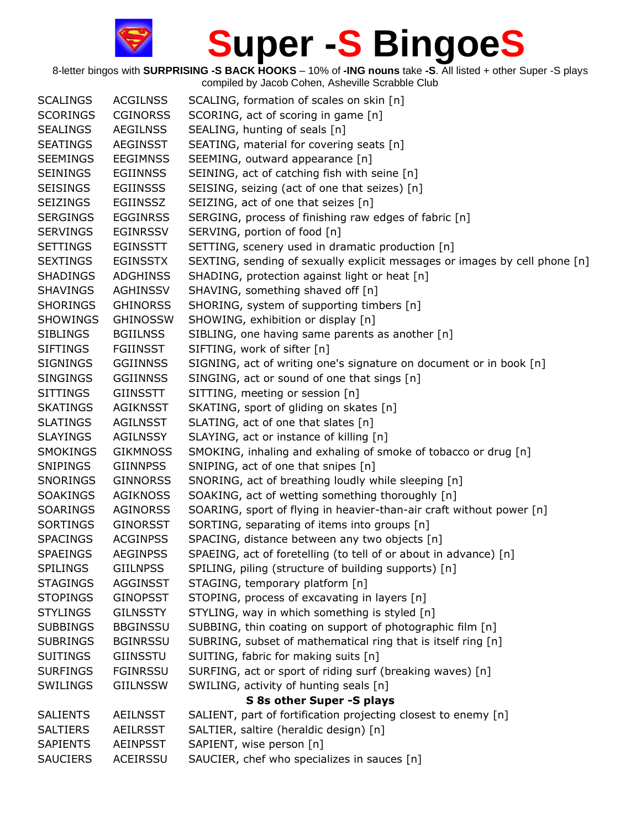| <b>SCALINGS</b> | <b>ACGILNSS</b> | SCALING, formation of scales on skin [n]                                   |
|-----------------|-----------------|----------------------------------------------------------------------------|
| <b>SCORINGS</b> | <b>CGINORSS</b> | SCORING, act of scoring in game [n]                                        |
| <b>SEALINGS</b> | <b>AEGILNSS</b> | SEALING, hunting of seals [n]                                              |
| <b>SEATINGS</b> | <b>AEGINSST</b> | SEATING, material for covering seats [n]                                   |
| <b>SEEMINGS</b> | <b>EEGIMNSS</b> | SEEMING, outward appearance [n]                                            |
| <b>SEININGS</b> | <b>EGIINNSS</b> | SEINING, act of catching fish with seine [n]                               |
| <b>SEISINGS</b> | <b>EGIINSSS</b> | SEISING, seizing (act of one that seizes) [n]                              |
| <b>SEIZINGS</b> | EGIINSSZ        | SEIZING, act of one that seizes [n]                                        |
| <b>SERGINGS</b> | <b>EGGINRSS</b> | SERGING, process of finishing raw edges of fabric [n]                      |
| <b>SERVINGS</b> | <b>EGINRSSV</b> | SERVING, portion of food [n]                                               |
| <b>SETTINGS</b> | <b>EGINSSTT</b> | SETTING, scenery used in dramatic production [n]                           |
| <b>SEXTINGS</b> | <b>EGINSSTX</b> | SEXTING, sending of sexually explicit messages or images by cell phone [n] |
| <b>SHADINGS</b> | <b>ADGHINSS</b> | SHADING, protection against light or heat [n]                              |
| <b>SHAVINGS</b> | AGHINSSV        | SHAVING, something shaved off [n]                                          |
| <b>SHORINGS</b> | <b>GHINORSS</b> | SHORING, system of supporting timbers [n]                                  |
| <b>SHOWINGS</b> | <b>GHINOSSW</b> | SHOWING, exhibition or display [n]                                         |
| <b>SIBLINGS</b> | <b>BGIILNSS</b> | SIBLING, one having same parents as another [n]                            |
| <b>SIFTINGS</b> | <b>FGIINSST</b> | SIFTING, work of sifter [n]                                                |
| <b>SIGNINGS</b> | <b>GGIINNSS</b> | SIGNING, act of writing one's signature on document or in book [n]         |
| <b>SINGINGS</b> | <b>GGIINNSS</b> | SINGING, act or sound of one that sings [n]                                |
| <b>SITTINGS</b> | <b>GIINSSTT</b> | SITTING, meeting or session [n]                                            |
| <b>SKATINGS</b> | <b>AGIKNSST</b> | SKATING, sport of gliding on skates [n]                                    |
| <b>SLATINGS</b> | <b>AGILNSST</b> | SLATING, act of one that slates [n]                                        |
| <b>SLAYINGS</b> | <b>AGILNSSY</b> | SLAYING, act or instance of killing [n]                                    |
| <b>SMOKINGS</b> | <b>GIKMNOSS</b> | SMOKING, inhaling and exhaling of smoke of tobacco or drug [n]             |
| <b>SNIPINGS</b> | <b>GIINNPSS</b> | SNIPING, act of one that snipes [n]                                        |
| SNORINGS        | <b>GINNORSS</b> | SNORING, act of breathing loudly while sleeping [n]                        |
| <b>SOAKINGS</b> | <b>AGIKNOSS</b> | SOAKING, act of wetting something thoroughly [n]                           |
| <b>SOARINGS</b> | <b>AGINORSS</b> | SOARING, sport of flying in heavier-than-air craft without power [n]       |
| <b>SORTINGS</b> | <b>GINORSST</b> | SORTING, separating of items into groups [n]                               |
| <b>SPACINGS</b> | <b>ACGINPSS</b> | SPACING, distance between any two objects [n]                              |
| <b>SPAEINGS</b> | <b>AEGINPSS</b> | SPAEING, act of foretelling (to tell of or about in advance) [n]           |
| <b>SPILINGS</b> | <b>GIILNPSS</b> | SPILING, piling (structure of building supports) [n]                       |
| <b>STAGINGS</b> | <b>AGGINSST</b> | STAGING, temporary platform [n]                                            |
| <b>STOPINGS</b> | <b>GINOPSST</b> | STOPING, process of excavating in layers [n]                               |
| <b>STYLINGS</b> | <b>GILNSSTY</b> | STYLING, way in which something is styled [n]                              |
| <b>SUBBINGS</b> | <b>BBGINSSU</b> | SUBBING, thin coating on support of photographic film [n]                  |
| <b>SUBRINGS</b> | <b>BGINRSSU</b> | SUBRING, subset of mathematical ring that is itself ring [n]               |
| <b>SUITINGS</b> | <b>GIINSSTU</b> | SUITING, fabric for making suits [n]                                       |
| <b>SURFINGS</b> | <b>FGINRSSU</b> | SURFING, act or sport of riding surf (breaking waves) [n]                  |
| <b>SWILINGS</b> | <b>GIILNSSW</b> | SWILING, activity of hunting seals [n]                                     |
|                 |                 | S 8s other Super -S plays                                                  |
| <b>SALIENTS</b> | <b>AEILNSST</b> | SALIENT, part of fortification projecting closest to enemy [n]             |
| <b>SALTIERS</b> | <b>AEILRSST</b> | SALTIER, saltire (heraldic design) [n]                                     |
| <b>SAPIENTS</b> | <b>AEINPSST</b> | SAPIENT, wise person [n]                                                   |
| <b>SAUCIERS</b> | ACEIRSSU        | SAUCIER, chef who specializes in sauces [n]                                |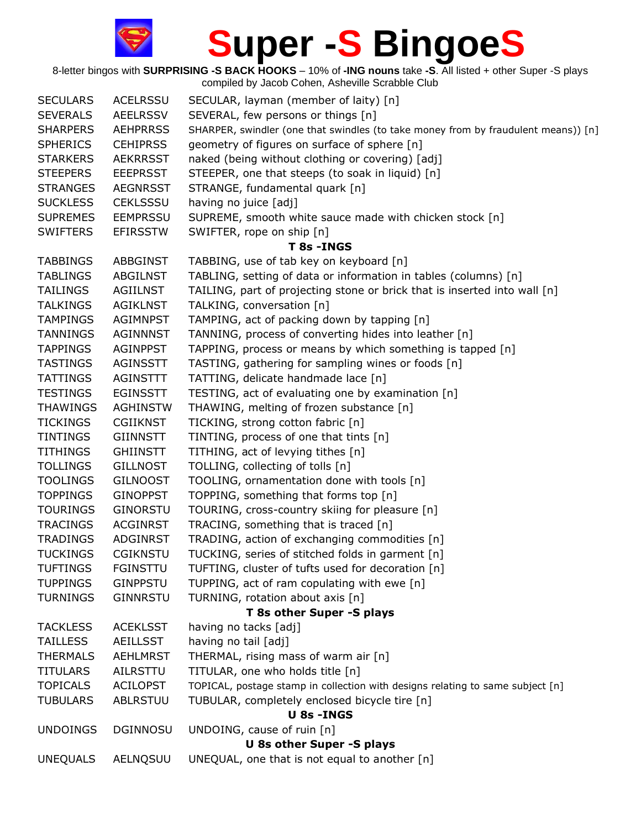

8-letter bingos with **SURPRISING -S BACK HOOKS** – 10% of **-ING nouns** take **-S**. All listed + other Super -S plays compiled by Jacob Cohen, Asheville Scrabble Club SECULARS ACELRSSU SECULAR, layman (member of laity) [n] SEVERALS AEELRSSV SEVERAL, few persons or things [n] SHARPERS AEHPRRSS SHARPER, swindler (one that swindles (to take money from by fraudulent means)) [n] SPHERICS CEHIPRSS geometry of figures on surface of sphere [n] STARKERS AEKRRSST naked (being without clothing or covering) [adj] STEEPERS EEEPRSST STEEPER, one that steeps (to soak in liquid) [n] STRANGES AEGNRSST STRANGE, fundamental quark [n] SUCKLESS CEKLSSSU having no juice [adj] SUPREMES EEMPRSSU SUPREME, smooth white sauce made with chicken stock [n] SWIFTERS EFIRSSTW SWIFTER, rope on ship [n] **T 8s -INGS** TABBINGS ABBGINST TABBING, use of tab key on keyboard [n] TABLINGS ABGILNST TABLING, setting of data or information in tables (columns) [n] TAILINGS AGIILNST TAILING, part of projecting stone or brick that is inserted into wall [n] TALKINGS AGIKLNST TALKING, conversation [n] TAMPINGS AGIMNPST TAMPING, act of packing down by tapping [n] TANNINGS AGINNNST TANNING, process of converting hides into leather [n] TAPPINGS AGINPPST TAPPING, process or means by which something is tapped [n] TASTINGS AGINSSTT TASTING, gathering for sampling wines or foods [n] TATTINGS AGINSTTT TATTING, delicate handmade lace [n] TESTINGS EGINSSTT TESTING, act of evaluating one by examination [n] THAWINGS AGHINSTW THAWING, melting of frozen substance [n] TICKINGS CGIIKNST TICKING, strong cotton fabric [n] TINTINGS GIINNSTT TINTING, process of one that tints [n] TITHINGS GHIINSTT TITHING, act of levying tithes [n] TOLLINGS GILLNOST TOLLING, collecting of tolls [n] TOOLINGS GILNOOST TOOLING, ornamentation done with tools [n] TOPPINGS GINOPPST TOPPING, something that forms top [n] TOURINGS GINORSTU TOURING, cross-country skiing for pleasure [n] TRACINGS ACGINRST TRACING, something that is traced [n] TRADINGS ADGINRST TRADING, action of exchanging commodities [n] TUCKINGS CGIKNSTU TUCKING, series of stitched folds in garment [n] TUFTINGS FGINSTTU TUFTING, cluster of tufts used for decoration [n] TUPPINGS GINPPSTU TUPPING, act of ram copulating with ewe [n] TURNINGS GINNRSTU TURNING, rotation about axis [n] **T 8s other Super -S plays**  TACKLESS ACEKLSST having no tacks [adj] TAILLESS AEILLSST having no tail [adj] THERMALS AEHLMRST THERMAL, rising mass of warm air [n] TITULARS AILRSTTU TITULAR, one who holds title [n] TOPICALS ACILOPST TOPICAL, postage stamp in collection with designs relating to same subject [n] TUBULARS ABLRSTUU TUBULAR, completely enclosed bicycle tire [n] **U 8s -INGS** UNDOINGS DGINNOSU UNDOING, cause of ruin [n] **U 8s other Super -S plays**  UNEQUALS AELNQSUU UNEQUAL, one that is not equal to another [n]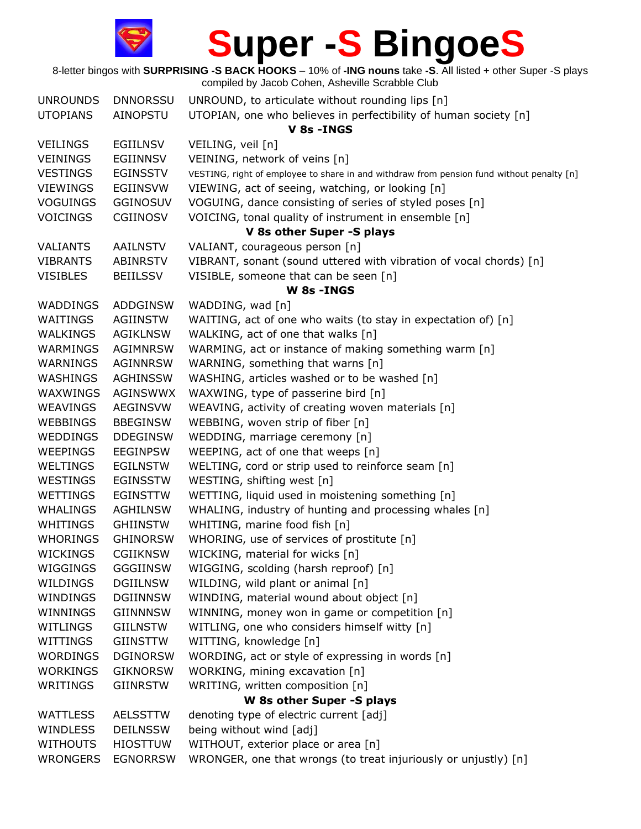

8-letter bingos with **SURPRISING -S BACK HOOKS** – 10% of **-ING nouns** take **-S**. All listed + other Super -S plays compiled by Jacob Cohen, Asheville Scrabble Club UNROUNDS DNNORSSU UNROUND, to articulate without rounding lips [n] UTOPIANS AINOPSTU UTOPIAN, one who believes in perfectibility of human society [n]

|                 |                 | V 8s - INGS                                                                               |
|-----------------|-----------------|-------------------------------------------------------------------------------------------|
| <b>VEILINGS</b> | <b>EGIILNSV</b> | VEILING, veil [n]                                                                         |
| <b>VEININGS</b> | EGIINNSV        | VEINING, network of veins [n]                                                             |
| <b>VESTINGS</b> | EGINSSTV        | VESTING, right of employee to share in and withdraw from pension fund without penalty [n] |
| <b>VIEWINGS</b> | <b>EGIINSVW</b> | VIEWING, act of seeing, watching, or looking [n]                                          |
| <b>VOGUINGS</b> | <b>GGINOSUV</b> | VOGUING, dance consisting of series of styled poses [n]                                   |
| <b>VOICINGS</b> | CGIINOSV        | VOICING, tonal quality of instrument in ensemble [n]                                      |
|                 |                 | V 8s other Super -S plays                                                                 |
| <b>VALIANTS</b> | <b>AAILNSTV</b> | VALIANT, courageous person [n]                                                            |
| <b>VIBRANTS</b> | <b>ABINRSTV</b> | VIBRANT, sonant (sound uttered with vibration of vocal chords) [n]                        |
| <b>VISIBLES</b> | <b>BEIILSSV</b> | VISIBLE, someone that can be seen [n]                                                     |
|                 |                 | W 8s - INGS                                                                               |
| WADDINGS        | <b>ADDGINSW</b> | WADDING, wad [n]                                                                          |
| WAITINGS        | AGIINSTW        | WAITING, act of one who waits (to stay in expectation of) [n]                             |
| WALKINGS        | <b>AGIKLNSW</b> | WALKING, act of one that walks [n]                                                        |
| WARMINGS        | <b>AGIMNRSW</b> | WARMING, act or instance of making something warm [n]                                     |
| WARNINGS        | <b>AGINNRSW</b> | WARNING, something that warns [n]                                                         |
| WASHINGS        | <b>AGHINSSW</b> | WASHING, articles washed or to be washed [n]                                              |
| WAXWINGS        | <b>AGINSWWX</b> | WAXWING, type of passerine bird [n]                                                       |
| WEAVINGS        | <b>AEGINSVW</b> | WEAVING, activity of creating woven materials [n]                                         |
| WEBBINGS        | <b>BBEGINSW</b> | WEBBING, woven strip of fiber [n]                                                         |
| WEDDINGS        | <b>DDEGINSW</b> | WEDDING, marriage ceremony [n]                                                            |
| WEEPINGS        | <b>EEGINPSW</b> | WEEPING, act of one that weeps [n]                                                        |
| WELTINGS        | <b>EGILNSTW</b> | WELTING, cord or strip used to reinforce seam [n]                                         |
| <b>WESTINGS</b> | <b>EGINSSTW</b> | WESTING, shifting west [n]                                                                |
| WETTINGS        | <b>EGINSTTW</b> | WETTING, liquid used in moistening something [n]                                          |
| WHALINGS        | <b>AGHILNSW</b> | WHALING, industry of hunting and processing whales [n]                                    |
| WHITINGS        | <b>GHIINSTW</b> | WHITING, marine food fish [n]                                                             |
| <b>WHORINGS</b> | <b>GHINORSW</b> | WHORING, use of services of prostitute [n]                                                |
| WICKINGS        | <b>CGIIKNSW</b> | WICKING, material for wicks [n]                                                           |
| WIGGINGS        | <b>GGGIINSW</b> | WIGGING, scolding (harsh reproof) [n]                                                     |
| WILDINGS        | <b>DGIILNSW</b> | WILDING, wild plant or animal [n]                                                         |
| WINDINGS        | <b>DGIINNSW</b> | WINDING, material wound about object [n]                                                  |
| WINNINGS        | <b>GIINNNSW</b> | WINNING, money won in game or competition [n]                                             |
| <b>WITLINGS</b> | <b>GIILNSTW</b> | WITLING, one who considers himself witty [n]                                              |
| WITTINGS        | <b>GIINSTTW</b> | WITTING, knowledge [n]                                                                    |
| <b>WORDINGS</b> | <b>DGINORSW</b> | WORDING, act or style of expressing in words [n]                                          |
| <b>WORKINGS</b> | <b>GIKNORSW</b> | WORKING, mining excavation [n]                                                            |
| WRITINGS        | <b>GIINRSTW</b> | WRITING, written composition [n]                                                          |
|                 |                 | W 8s other Super -S plays                                                                 |
| <b>WATTLESS</b> | <b>AELSSTTW</b> | denoting type of electric current [adj]                                                   |
| <b>WINDLESS</b> | <b>DEILNSSW</b> | being without wind [adj]                                                                  |
| <b>WITHOUTS</b> | <b>HIOSTTUW</b> | WITHOUT, exterior place or area [n]                                                       |
| <b>WRONGERS</b> | <b>EGNORRSW</b> | WRONGER, one that wrongs (to treat injuriously or unjustly) [n]                           |